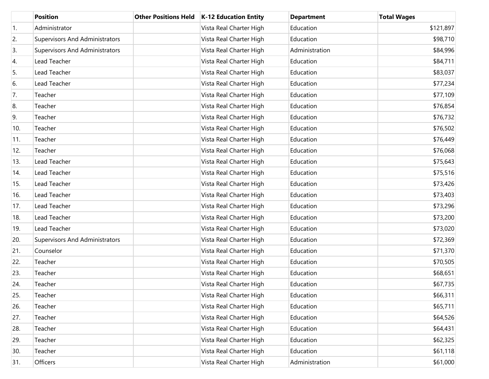|                  | <b>Position</b>                       | <b>Other Positions Held</b> | K-12 Education Entity   | <b>Department</b> | <b>Total Wages</b> |
|------------------|---------------------------------------|-----------------------------|-------------------------|-------------------|--------------------|
| $\overline{1}$ . | Administrator                         |                             | Vista Real Charter High | Education         | \$121,897          |
| 2.               | <b>Supervisors And Administrators</b> |                             | Vista Real Charter High | Education         | \$98,710           |
| 3.               | <b>Supervisors And Administrators</b> |                             | Vista Real Charter High | Administration    | \$84,996           |
| 4.               | Lead Teacher                          |                             | Vista Real Charter High | Education         | \$84,711           |
| 5.               | Lead Teacher                          |                             | Vista Real Charter High | Education         | \$83,037           |
| 6.               | Lead Teacher                          |                             | Vista Real Charter High | Education         | \$77,234           |
| 7.               | Teacher                               |                             | Vista Real Charter High | Education         | \$77,109           |
| 8.               | Teacher                               |                             | Vista Real Charter High | Education         | \$76,854           |
| 9.               | Teacher                               |                             | Vista Real Charter High | Education         | \$76,732           |
| 10.              | Teacher                               |                             | Vista Real Charter High | Education         | \$76,502           |
| 11.              | Teacher                               |                             | Vista Real Charter High | Education         | \$76,449           |
| 12.              | Teacher                               |                             | Vista Real Charter High | Education         | \$76,068           |
| 13.              | Lead Teacher                          |                             | Vista Real Charter High | Education         | \$75,643           |
| 14.              | Lead Teacher                          |                             | Vista Real Charter High | Education         | \$75,516           |
| 15.              | Lead Teacher                          |                             | Vista Real Charter High | Education         | \$73,426           |
| 16.              | Lead Teacher                          |                             | Vista Real Charter High | Education         | \$73,403           |
| 17.              | Lead Teacher                          |                             | Vista Real Charter High | Education         | \$73,296           |
| 18.              | Lead Teacher                          |                             | Vista Real Charter High | Education         | \$73,200           |
| 19.              | Lead Teacher                          |                             | Vista Real Charter High | Education         | \$73,020           |
| 20.              | <b>Supervisors And Administrators</b> |                             | Vista Real Charter High | Education         | \$72,369           |
| 21.              | Counselor                             |                             | Vista Real Charter High | Education         | \$71,370           |
| 22.              | Teacher                               |                             | Vista Real Charter High | Education         | \$70,505           |
| 23.              | Teacher                               |                             | Vista Real Charter High | Education         | \$68,651           |
| 24.              | Teacher                               |                             | Vista Real Charter High | Education         | \$67,735           |
| 25.              | Teacher                               |                             | Vista Real Charter High | Education         | \$66,311           |
| 26.              | Teacher                               |                             | Vista Real Charter High | Education         | \$65,711           |
| 27.              | Teacher                               |                             | Vista Real Charter High | Education         | \$64,526           |
| 28.              | Teacher                               |                             | Vista Real Charter High | Education         | \$64,431           |
| 29.              | Teacher                               |                             | Vista Real Charter High | Education         | \$62,325           |
| 30.              | Teacher                               |                             | Vista Real Charter High | Education         | \$61,118           |
| 31.              | Officers                              |                             | Vista Real Charter High | Administration    | \$61,000           |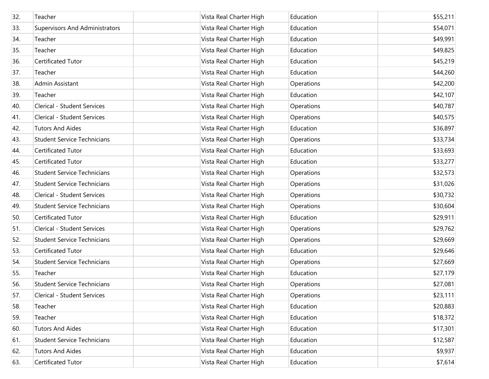| 32. | Teacher                               | Vista Real Charter High | Education  | \$55,211 |
|-----|---------------------------------------|-------------------------|------------|----------|
| 33. | <b>Supervisors And Administrators</b> | Vista Real Charter High | Education  | \$54,071 |
| 34. | Teacher                               | Vista Real Charter High | Education  | \$49,991 |
| 35. | Teacher                               | Vista Real Charter High | Education  | \$49,825 |
| 36. | Certificated Tutor                    | Vista Real Charter High | Education  | \$45,219 |
| 37. | Teacher                               | Vista Real Charter High | Education  | \$44,260 |
| 38. | Admin Assistant                       | Vista Real Charter High | Operations | \$42,200 |
| 39. | Teacher                               | Vista Real Charter High | Education  | \$42,107 |
| 40. | Clerical - Student Services           | Vista Real Charter High | Operations | \$40,787 |
| 41. | Clerical - Student Services           | Vista Real Charter High | Operations | \$40,575 |
| 42. | <b>Tutors And Aides</b>               | Vista Real Charter High | Education  | \$36,897 |
| 43. | <b>Student Service Technicians</b>    | Vista Real Charter High | Operations | \$33,734 |
| 44. | Certificated Tutor                    | Vista Real Charter High | Education  | \$33,693 |
| 45. | Certificated Tutor                    | Vista Real Charter High | Education  | \$33,277 |
| 46. | <b>Student Service Technicians</b>    | Vista Real Charter High | Operations | \$32,573 |
| 47. | <b>Student Service Technicians</b>    | Vista Real Charter High | Operations | \$31,026 |
| 48. | Clerical - Student Services           | Vista Real Charter High | Operations | \$30,732 |
| 49. | <b>Student Service Technicians</b>    | Vista Real Charter High | Operations | \$30,604 |
| 50. | Certificated Tutor                    | Vista Real Charter High | Education  | \$29,911 |
| 51. | Clerical - Student Services           | Vista Real Charter High | Operations | \$29,762 |
| 52. | <b>Student Service Technicians</b>    | Vista Real Charter High | Operations | \$29,669 |
| 53. | Certificated Tutor                    | Vista Real Charter High | Education  | \$29,646 |
| 54. | <b>Student Service Technicians</b>    | Vista Real Charter High | Operations | \$27,669 |
| 55. | Teacher                               | Vista Real Charter High | Education  | \$27,179 |
| 56. | <b>Student Service Technicians</b>    | Vista Real Charter High | Operations | \$27,081 |
| 57. | Clerical - Student Services           | Vista Real Charter High | Operations | \$23,111 |
| 58. | Teacher                               | Vista Real Charter High | Education  | \$20,883 |
| 59. | Teacher                               | Vista Real Charter High | Education  | \$18,372 |
| 60. | <b>Tutors And Aides</b>               | Vista Real Charter High | Education  | \$17,301 |
| 61. | <b>Student Service Technicians</b>    | Vista Real Charter High | Education  | \$12,587 |
| 62. | <b>Tutors And Aides</b>               | Vista Real Charter High | Education  | \$9,937  |
| 63. | Certificated Tutor                    | Vista Real Charter High | Education  | \$7,614  |